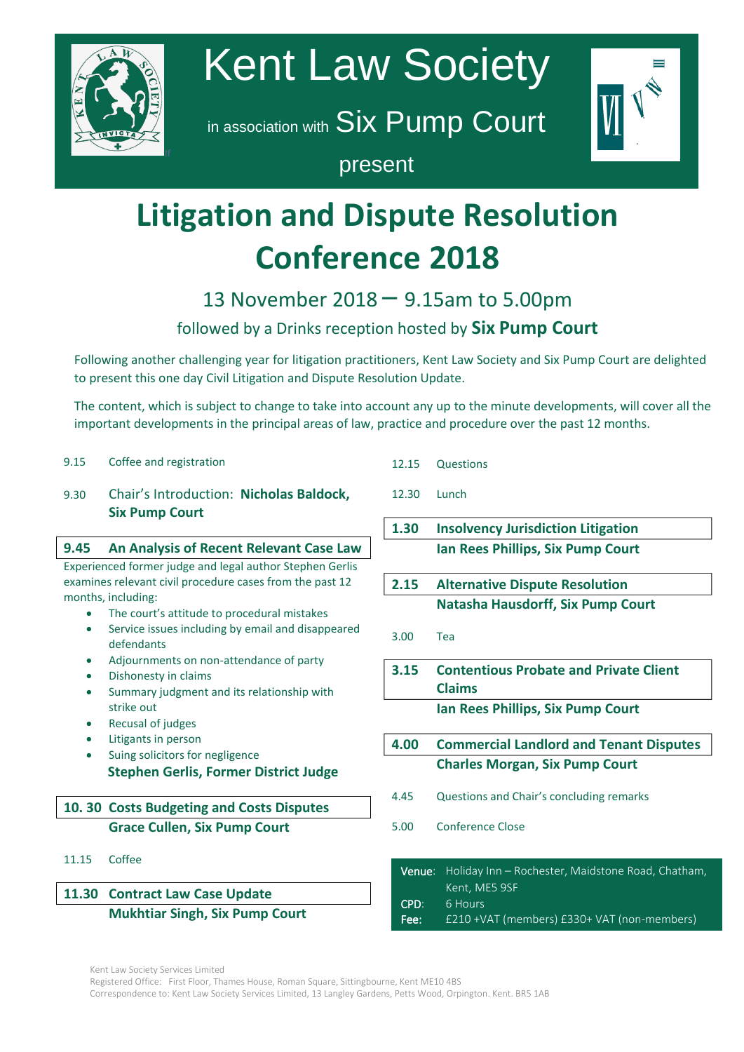

# Kent Law Society

in association with Six Pump Court



## present

## **Litigation and Dispute Resolution Conference 2018** your consent we use your you about future events  $\alpha$

# 13 November 2018 – 9.15am to 5.00pm

## followed by a Drinks reception hosted by **Six Pump Court**

Following another challenging year for litigation practitioners, Kent Law Society and Six Pump Court are delighted to present this one to present this one day Civil Litigation and Dispute Resolution Update.

 $\tau$ les soutout which The content, which is subject to change to take into account any up to the minute developments, will cover all the important developments in the principal areas of law, practice and procedure over the past 12 months.

| 9.15 | Coffee and registration |
|------|-------------------------|
|      |                         |

#### 9.30 Chair's Introduction: **Nicholas Baldock,**  $\frac{1}{2}$  chain b receive **Six Pump Court**

#### with the American **9.45** An Analysis of Recent Relevant Case Law Experienced former judge and legal author Stephen Gerlis

examines relevant civil procedure cases from the past 12 months, including:  $\tau$  to the theory of the theory of  $\tau$ 

- $\bullet$  The court's attitude to procedural mistakes
- Service issues including by email and disappeared defendants
- Adjournments on non-attendance of party
- $\bullet$  Dishonesty in claims  $\mathcal{L}_{\text{noncon}}$
- Summary judgment and its relationship with strike out
- Recusal of judges
	- Litigants in person
	- Suing solicitors for negligence **Stephen Gerlis, Former District Judge**

## **10. 30 Costs Budgeting and Costs Disputes Grace Cullen, Six Pump Court**

11.15 Coffee

## **11.30 Contract Law Case Update**

### **Mukhtiar Singh, Six Pump Court**

- 12.15 Questions
- 12.30 Lunch
- **1.30 Insolvency Jurisdiction Litigation Ian Rees Phillips, Six Pump Court**
- **2.15 Alternative Dispute Resolution Natasha Hausdorff, Six Pump Court**
- 3.00 Tea
- **3.15 Contentious Probate and Private Client Claims Ian Rees Phillips, Six Pump Court**
- **4.00 Commercial Landlord and Tenant Disputes Charles Morgan, Six Pump Court**
- 4.45 Questions and Chair's concluding remarks
- 5.00 Conference Close
- Venue: Holiday Inn Rochester, Maidstone Road, Chatham, Kent, ME5 9SF CPD: 6 Hours
- Fee: £210 +VAT (members) £330+ VAT (non-members)

Registered Office: First Floor, Thames House, Roman Square, Sittingbourne, Kent ME10 4BS Correspondence to: Kent Law Society Services Limited, 13 Langley Gardens, Petts Wood, Orpington. Kent. BR5 1AB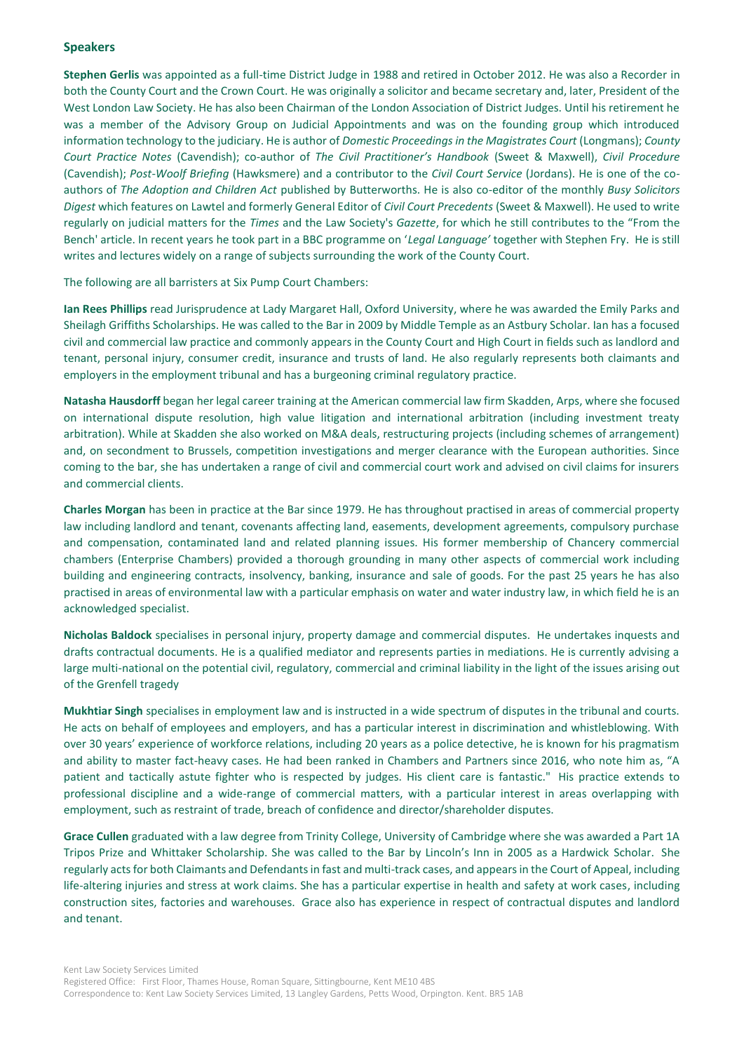#### **Speakers**

**Stephen Gerlis** was appointed as a full-time District Judge in 1988 and retired in October 2012. He was also a Recorder in both the County Court and the Crown Court. He was originally a solicitor and became secretary and, later, President of the West London Law Society. He has also been Chairman of the London Association of District Judges. Until his retirement he was a member of the Advisory Group on Judicial Appointments and was on the founding group which introduced information technology to the judiciary. He is author of *Domestic Proceedings in the Magistrates Court* (Longmans); *County Court Practice Notes* (Cavendish); co-author of *The Civil Practitioner's Handbook* (Sweet & Maxwell), *Civil Procedure* (Cavendish); *Post-Woolf Briefing* (Hawksmere) and a contributor to the *Civil Court Service* (Jordans). He is one of the coauthors of *The Adoption and Children Act* published by Butterworths. He is also co-editor of the monthly *Busy Solicitors Digest* which features on Lawtel and formerly General Editor of *Civil Court Precedents* (Sweet & Maxwell). He used to write regularly on judicial matters for the *Times* and the Law Society's *Gazette*, for which he still contributes to the "From the Bench' article. In recent years he took part in a BBC programme on '*Legal Language'* together with Stephen Fry. He is still writes and lectures widely on a range of subjects surrounding the work of the County Court.

The following are all barristers at Six Pump Court Chambers:

**Ian Rees Phillips** read Jurisprudence at Lady Margaret Hall, Oxford University, where he was awarded the Emily Parks and Sheilagh Griffiths Scholarships. He was called to the Bar in 2009 by Middle Temple as an Astbury Scholar. Ian has a focused civil and commercial law practice and commonly appears in the County Court and High Court in fields such as landlord and tenant, personal injury, consumer credit, insurance and trusts of land. He also regularly represents both claimants and employers in the employment tribunal and has a burgeoning criminal regulatory practice.

**Natasha Hausdorff** began her legal career training at the American commercial law firm Skadden, Arps, where she focused on international dispute resolution, high value litigation and international arbitration (including investment treaty arbitration). While at Skadden she also worked on M&A deals, restructuring projects (including schemes of arrangement) and, on secondment to Brussels, competition investigations and merger clearance with the European authorities. Since coming to the bar, she has undertaken a range of civil and commercial court work and advised on civil claims for insurers and commercial clients.

**Charles Morgan** has been in practice at the Bar since 1979. He has throughout practised in areas of commercial property law including landlord and tenant, covenants affecting land, easements, development agreements, compulsory purchase and compensation, contaminated land and related planning issues. His former membership of Chancery commercial chambers (Enterprise Chambers) provided a thorough grounding in many other aspects of commercial work including building and engineering contracts, insolvency, banking, insurance and sale of goods. For the past 25 years he has also practised in areas of environmental law with a particular emphasis on water and water industry law, in which field he is an acknowledged specialist.

**Nicholas Baldock** specialises in personal injury, property damage and commercial disputes. He undertakes inquests and drafts contractual documents. He is a qualified mediator and represents parties in mediations. He is currently advising a large multi-national on the potential civil, regulatory, commercial and criminal liability in the light of the issues arising out of the Grenfell tragedy

**Mukhtiar Singh** specialises in employment law and is instructed in a wide spectrum of disputes in the tribunal and courts. He acts on behalf of employees and employers, and has a particular interest in discrimination and whistleblowing. With over 30 years' experience of workforce relations, including 20 years as a police detective, he is known for his pragmatism and ability to master fact-heavy cases. He had been ranked in Chambers and Partners since 2016, who note him as, "A patient and tactically astute fighter who is respected by judges. His client care is fantastic." His practice extends to professional discipline and a wide-range of commercial matters, with a particular interest in areas overlapping with employment, such as restraint of trade, breach of confidence and director/shareholder disputes.

**Grace Cullen** graduated with a law degree from Trinity College, University of Cambridge where she was awarded a Part 1A Tripos Prize and Whittaker Scholarship. She was called to the Bar by Lincoln's Inn in 2005 as a Hardwick Scholar. She regularly acts for both Claimants and Defendants in fast and multi-track cases, and appears in the Court of Appeal, including life-altering injuries and stress at work claims. She has a particular expertise in health and safety at work cases, including construction sites, factories and warehouses. Grace also has experience in respect of contractual disputes and landlord and tenant.